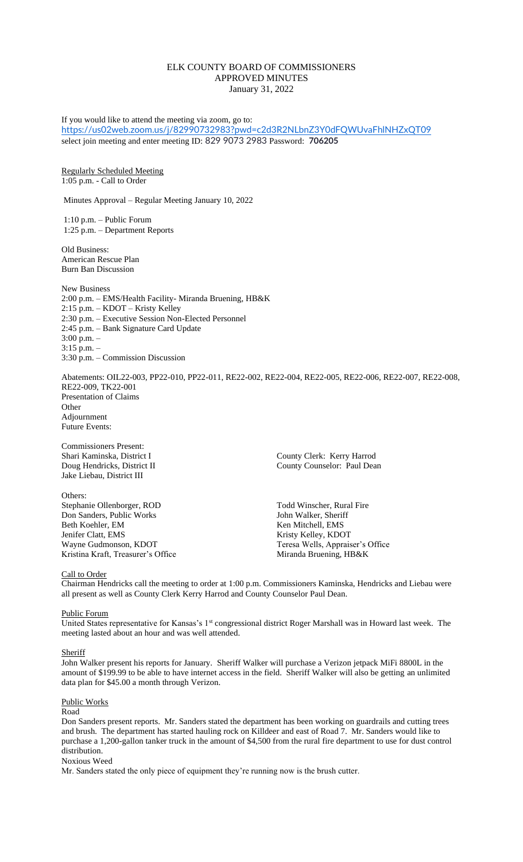# ELK COUNTY BOARD OF COMMISSIONERS APPROVED MINUTES January 31, 2022

If you would like to attend the meeting via zoom, go to: <https://us02web.zoom.us/j/82990732983?pwd=c2d3R2NLbnZ3Y0dFQWUvaFhlNHZxQT09> select join meeting and enter meeting ID: 829 9073 2983 Password: **706205** Regularly Scheduled Meeting 1:05 p.m. - Call to Order Minutes Approval – Regular Meeting January 10, 2022 1:10 p.m. – Public Forum 1:25 p.m. – Department Reports Old Business: American Rescue Plan Burn Ban Discussion New Business 2:00 p.m. – EMS/Health Facility- Miranda Bruening, HB&K 2:15 p.m. – KDOT – Kristy Kelley 2:30 p.m. – Executive Session Non-Elected Personnel 2:45 p.m. – Bank Signature Card Update 3:00 p.m. – 3:15 p.m. – 3:30 p.m. – Commission Discussion Abatements: OIL22-003, PP22-010, PP22-011, RE22-002, RE22-004, RE22-005, RE22-006, RE22-007, RE22-008, RE22-009, TK22-001 Presentation of Claims **Other** Adjournment Future Events: Commissioners Present: Shari Kaminska, District I County Clerk: Kerry Harrod Doug Hendricks, District II County Counselor: Paul Dean Jake Liebau, District III Others: Stephanie Ollenborger, ROD Todd Winscher, Rural Fire Don Sanders, Public Works John Walker, Sheriff

Beth Koehler, EM Ken Mitchell, EMS<br>
Jenifer Clatt, EMS<br>
Kristy Kelley, KDO Wayne Gudmonson, KDOT<br>
Kristina Kraft, Treasurer's Office<br>
Miranda Bruening, HB&K Kristina Kraft, Treasurer's Office

Kristy Kelley, KDOT

## Call to Order

Chairman Hendricks call the meeting to order at 1:00 p.m. Commissioners Kaminska, Hendricks and Liebau were all present as well as County Clerk Kerry Harrod and County Counselor Paul Dean.

## Public Forum

United States representative for Kansas's 1<sup>st</sup> congressional district Roger Marshall was in Howard last week. The meeting lasted about an hour and was well attended.

#### **Sheriff**

John Walker present his reports for January. Sheriff Walker will purchase a Verizon jetpack MiFi 8800L in the amount of \$199.99 to be able to have internet access in the field. Sheriff Walker will also be getting an unlimited data plan for \$45.00 a month through Verizon.

## Public Works

Road

Don Sanders present reports. Mr. Sanders stated the department has been working on guardrails and cutting trees and brush. The department has started hauling rock on Killdeer and east of Road 7. Mr. Sanders would like to purchase a 1,200-gallon tanker truck in the amount of \$4,500 from the rural fire department to use for dust control distribution.

### Noxious Weed

Mr. Sanders stated the only piece of equipment they're running now is the brush cutter.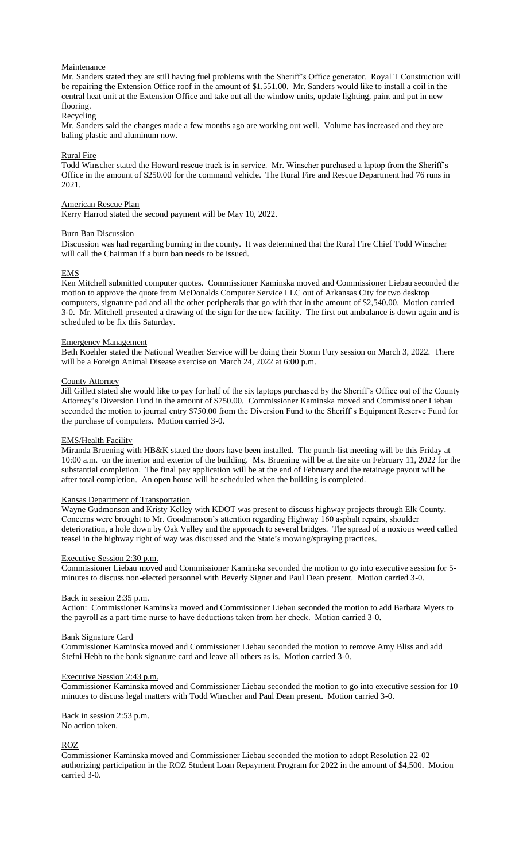## Maintenance

Mr. Sanders stated they are still having fuel problems with the Sheriff's Office generator. Royal T Construction will be repairing the Extension Office roof in the amount of \$1,551.00. Mr. Sanders would like to install a coil in the central heat unit at the Extension Office and take out all the window units, update lighting, paint and put in new flooring.

## Recycling

Mr. Sanders said the changes made a few months ago are working out well. Volume has increased and they are baling plastic and aluminum now.

### Rural Fire

Todd Winscher stated the Howard rescue truck is in service. Mr. Winscher purchased a laptop from the Sheriff's Office in the amount of \$250.00 for the command vehicle. The Rural Fire and Rescue Department had 76 runs in 2021.

### American Rescue Plan

Kerry Harrod stated the second payment will be May 10, 2022.

#### Burn Ban Discussion

Discussion was had regarding burning in the county. It was determined that the Rural Fire Chief Todd Winscher will call the Chairman if a burn ban needs to be issued.

## EMS

Ken Mitchell submitted computer quotes. Commissioner Kaminska moved and Commissioner Liebau seconded the motion to approve the quote from McDonalds Computer Service LLC out of Arkansas City for two desktop computers, signature pad and all the other peripherals that go with that in the amount of \$2,540.00. Motion carried 3-0. Mr. Mitchell presented a drawing of the sign for the new facility. The first out ambulance is down again and is scheduled to be fix this Saturday.

## Emergency Management

Beth Koehler stated the National Weather Service will be doing their Storm Fury session on March 3, 2022. There will be a Foreign Animal Disease exercise on March 24, 2022 at 6:00 p.m.

## County Attorney

Jill Gillett stated she would like to pay for half of the six laptops purchased by the Sheriff's Office out of the County Attorney's Diversion Fund in the amount of \$750.00. Commissioner Kaminska moved and Commissioner Liebau seconded the motion to journal entry \$750.00 from the Diversion Fund to the Sheriff's Equipment Reserve Fund for the purchase of computers. Motion carried 3-0.

## EMS/Health Facility

Miranda Bruening with HB&K stated the doors have been installed. The punch-list meeting will be this Friday at 10:00 a.m. on the interior and exterior of the building. Ms. Bruening will be at the site on February 11, 2022 for the substantial completion. The final pay application will be at the end of February and the retainage payout will be after total completion. An open house will be scheduled when the building is completed.

### Kansas Department of Transportation

Wayne Gudmonson and Kristy Kelley with KDOT was present to discuss highway projects through Elk County. Concerns were brought to Mr. Goodmanson's attention regarding Highway 160 asphalt repairs, shoulder deterioration, a hole down by Oak Valley and the approach to several bridges. The spread of a noxious weed called teasel in the highway right of way was discussed and the State's mowing/spraying practices.

## Executive Session 2:30 p.m.

Commissioner Liebau moved and Commissioner Kaminska seconded the motion to go into executive session for 5 minutes to discuss non-elected personnel with Beverly Signer and Paul Dean present. Motion carried 3-0.

#### Back in session 2:35 p.m.

Action: Commissioner Kaminska moved and Commissioner Liebau seconded the motion to add Barbara Myers to the payroll as a part-time nurse to have deductions taken from her check. Motion carried 3-0.

#### Bank Signature Card

Commissioner Kaminska moved and Commissioner Liebau seconded the motion to remove Amy Bliss and add Stefni Hebb to the bank signature card and leave all others as is. Motion carried 3-0.

#### Executive Session 2:43 p.m.

Commissioner Kaminska moved and Commissioner Liebau seconded the motion to go into executive session for 10 minutes to discuss legal matters with Todd Winscher and Paul Dean present. Motion carried 3-0.

Back in session 2:53 p.m.

No action taken.

# ROZ

Commissioner Kaminska moved and Commissioner Liebau seconded the motion to adopt Resolution 22-02 authorizing participation in the ROZ Student Loan Repayment Program for 2022 in the amount of \$4,500. Motion carried 3-0.